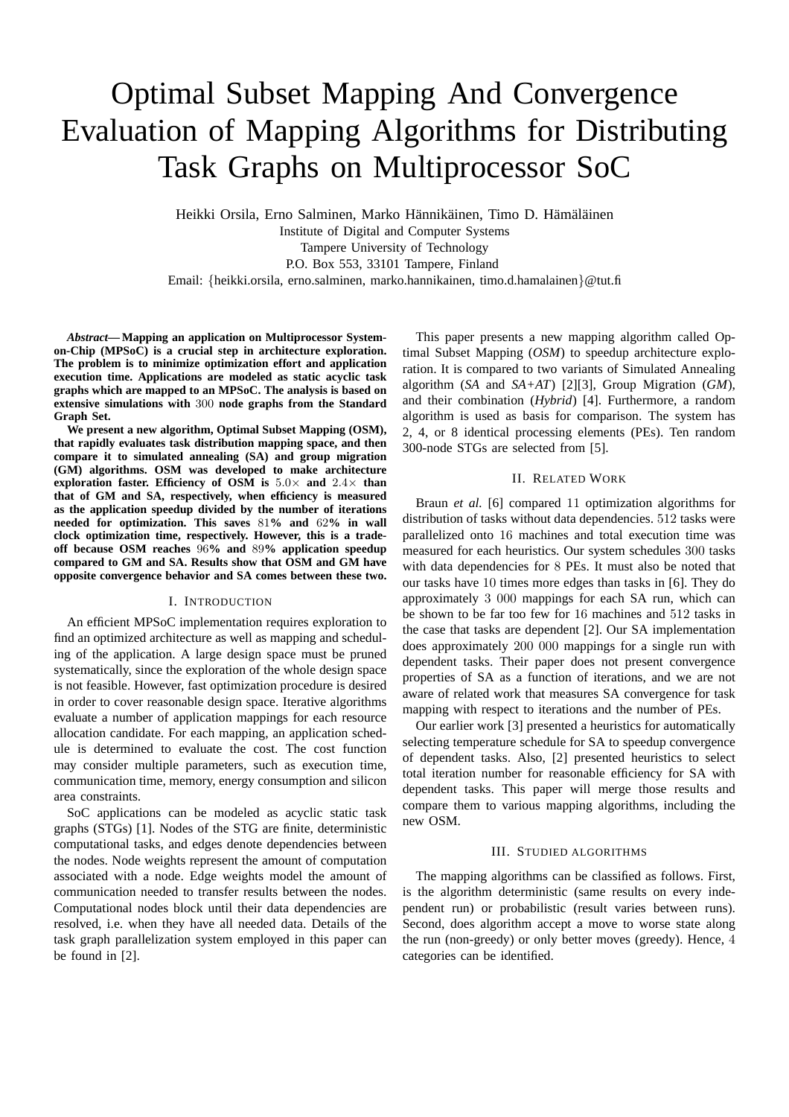# Optimal Subset Mapping And Convergence Evaluation of Mapping Algorithms for Distributing Task Graphs on Multiprocessor SoC

Heikki Orsila, Erno Salminen, Marko Hännikäinen, Timo D. Hämäläinen

Institute of Digital and Computer Systems

Tampere University of Technology

P.O. Box 553, 33101 Tampere, Finland

Email: {heikki.orsila, erno.salminen, marko.hannikainen, timo.d.hamalainen}@tut.fi

*Abstract***— Mapping an application on Multiprocessor Systemon-Chip (MPSoC) is a crucial step in architecture exploration. The problem is to minimize optimization effort and application execution time. Applications are modeled as static acyclic task graphs which are mapped to an MPSoC. The analysis is based on extensive simulations with** 300 **node graphs from the Standard Graph Set.**

**We present a new algorithm, Optimal Subset Mapping (OSM), that rapidly evaluates task distribution mapping space, and then compare it to simulated annealing (SA) and group migration (GM) algorithms. OSM was developed to make architecture exploration faster. Efficiency of OSM is** 5.0× **and** 2.4× **than that of GM and SA, respectively, when efficiency is measured as the application speedup divided by the number of iterations needed for optimization. This saves** 81**% and** 62**% in wall clock optimization time, respectively. However, this is a tradeoff because OSM reaches** 96**% and** 89**% application speedup compared to GM and SA. Results show that OSM and GM have opposite convergence behavior and SA comes between these two.**

## I. INTRODUCTION

An efficient MPSoC implementation requires exploration to find an optimized architecture as well as mapping and scheduling of the application. A large design space must be pruned systematically, since the exploration of the whole design space is not feasible. However, fast optimization procedure is desired in order to cover reasonable design space. Iterative algorithms evaluate a number of application mappings for each resource allocation candidate. For each mapping, an application schedule is determined to evaluate the cost. The cost function may consider multiple parameters, such as execution time, communication time, memory, energy consumption and silicon area constraints.

SoC applications can be modeled as acyclic static task graphs (STGs) [1]. Nodes of the STG are finite, deterministic computational tasks, and edges denote dependencies between the nodes. Node weights represent the amount of computation associated with a node. Edge weights model the amount of communication needed to transfer results between the nodes. Computational nodes block until their data dependencies are resolved, i.e. when they have all needed data. Details of the task graph parallelization system employed in this paper can be found in [2].

This paper presents a new mapping algorithm called Optimal Subset Mapping (*OSM*) to speedup architecture exploration. It is compared to two variants of Simulated Annealing algorithm (*SA* and *SA+AT*) [2][3], Group Migration (*GM*), and their combination (*Hybrid*) [4]. Furthermore, a random algorithm is used as basis for comparison. The system has 2, 4, or 8 identical processing elements (PEs). Ten random 300-node STGs are selected from [5].

### II. RELATED WORK

Braun *et al.* [6] compared 11 optimization algorithms for distribution of tasks without data dependencies. 512 tasks were parallelized onto 16 machines and total execution time was measured for each heuristics. Our system schedules 300 tasks with data dependencies for 8 PEs. It must also be noted that our tasks have 10 times more edges than tasks in [6]. They do approximately 3 000 mappings for each SA run, which can be shown to be far too few for 16 machines and 512 tasks in the case that tasks are dependent [2]. Our SA implementation does approximately 200 000 mappings for a single run with dependent tasks. Their paper does not present convergence properties of SA as a function of iterations, and we are not aware of related work that measures SA convergence for task mapping with respect to iterations and the number of PEs.

Our earlier work [3] presented a heuristics for automatically selecting temperature schedule for SA to speedup convergence of dependent tasks. Also, [2] presented heuristics to select total iteration number for reasonable efficiency for SA with dependent tasks. This paper will merge those results and compare them to various mapping algorithms, including the new OSM.

## III. STUDIED ALGORITHMS

The mapping algorithms can be classified as follows. First, is the algorithm deterministic (same results on every independent run) or probabilistic (result varies between runs). Second, does algorithm accept a move to worse state along the run (non-greedy) or only better moves (greedy). Hence, 4 categories can be identified.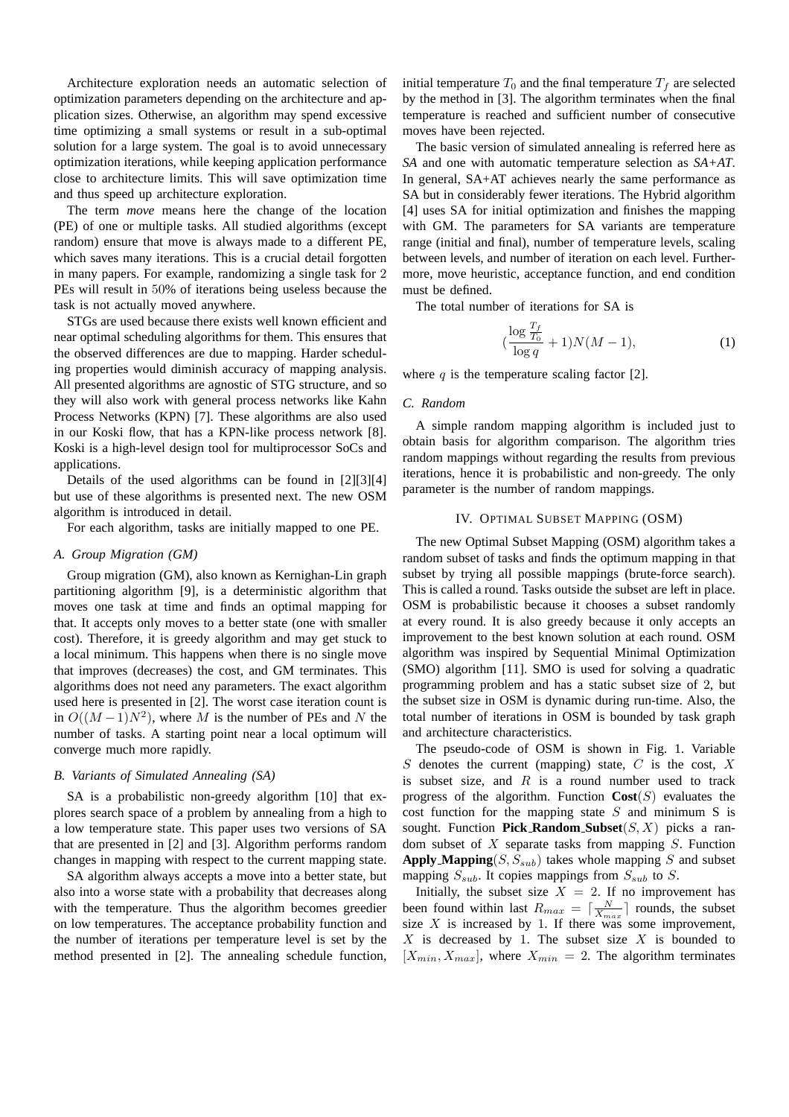Architecture exploration needs an automatic selection of optimization parameters depending on the architecture and application sizes. Otherwise, an algorithm may spend excessive time optimizing a small systems or result in a sub-optimal solution for a large system. The goal is to avoid unnecessary optimization iterations, while keeping application performance close to architecture limits. This will save optimization time and thus speed up architecture exploration.

The term *move* means here the change of the location (PE) of one or multiple tasks. All studied algorithms (except random) ensure that move is always made to a different PE, which saves many iterations. This is a crucial detail forgotten in many papers. For example, randomizing a single task for 2 PEs will result in 50% of iterations being useless because the task is not actually moved anywhere.

STGs are used because there exists well known efficient and near optimal scheduling algorithms for them. This ensures that the observed differences are due to mapping. Harder scheduling properties would diminish accuracy of mapping analysis. All presented algorithms are agnostic of STG structure, and so they will also work with general process networks like Kahn Process Networks (KPN) [7]. These algorithms are also used in our Koski flow, that has a KPN-like process network [8]. Koski is a high-level design tool for multiprocessor SoCs and applications.

Details of the used algorithms can be found in [2][3][4] but use of these algorithms is presented next. The new OSM algorithm is introduced in detail.

For each algorithm, tasks are initially mapped to one PE.

## *A. Group Migration (GM)*

Group migration (GM), also known as Kernighan-Lin graph partitioning algorithm [9], is a deterministic algorithm that moves one task at time and finds an optimal mapping for that. It accepts only moves to a better state (one with smaller cost). Therefore, it is greedy algorithm and may get stuck to a local minimum. This happens when there is no single move that improves (decreases) the cost, and GM terminates. This algorithms does not need any parameters. The exact algorithm used here is presented in [2]. The worst case iteration count is in  $O((M-1)N^2)$ , where M is the number of PEs and N the number of tasks. A starting point near a local optimum will converge much more rapidly.

## *B. Variants of Simulated Annealing (SA)*

SA is a probabilistic non-greedy algorithm [10] that explores search space of a problem by annealing from a high to a low temperature state. This paper uses two versions of SA that are presented in [2] and [3]. Algorithm performs random changes in mapping with respect to the current mapping state.

SA algorithm always accepts a move into a better state, but also into a worse state with a probability that decreases along with the temperature. Thus the algorithm becomes greedier on low temperatures. The acceptance probability function and the number of iterations per temperature level is set by the method presented in [2]. The annealing schedule function,

initial temperature  $T_0$  and the final temperature  $T_f$  are selected by the method in [3]. The algorithm terminates when the final temperature is reached and sufficient number of consecutive moves have been rejected.

The basic version of simulated annealing is referred here as *SA* and one with automatic temperature selection as *SA+AT*. In general, SA+AT achieves nearly the same performance as SA but in considerably fewer iterations. The Hybrid algorithm [4] uses SA for initial optimization and finishes the mapping with GM. The parameters for SA variants are temperature range (initial and final), number of temperature levels, scaling between levels, and number of iteration on each level. Furthermore, move heuristic, acceptance function, and end condition must be defined.

The total number of iterations for SA is

$$
(\frac{\log \frac{T_f}{T_0}}{\log q} + 1)N(M - 1),\tag{1}
$$

where  $q$  is the temperature scaling factor [2].

# *C. Random*

A simple random mapping algorithm is included just to obtain basis for algorithm comparison. The algorithm tries random mappings without regarding the results from previous iterations, hence it is probabilistic and non-greedy. The only parameter is the number of random mappings.

## IV. OPTIMAL SUBSET MAPPING (OSM)

The new Optimal Subset Mapping (OSM) algorithm takes a random subset of tasks and finds the optimum mapping in that subset by trying all possible mappings (brute-force search). This is called a round. Tasks outside the subset are left in place. OSM is probabilistic because it chooses a subset randomly at every round. It is also greedy because it only accepts an improvement to the best known solution at each round. OSM algorithm was inspired by Sequential Minimal Optimization (SMO) algorithm [11]. SMO is used for solving a quadratic programming problem and has a static subset size of 2, but the subset size in OSM is dynamic during run-time. Also, the total number of iterations in OSM is bounded by task graph and architecture characteristics.

The pseudo-code of OSM is shown in Fig. 1. Variable  $S$  denotes the current (mapping) state,  $C$  is the cost,  $X$ is subset size, and  $R$  is a round number used to track progress of the algorithm. Function  $\text{Cost}(S)$  evaluates the cost function for the mapping state  $S$  and minimum  $S$  is sought. Function **Pick\_Random\_Subset** $(S, X)$  picks a random subset of  $X$  separate tasks from mapping  $S$ . Function **Apply Mapping** $(S, S_{sub})$  takes whole mapping S and subset mapping  $S_{sub}$ . It copies mappings from  $S_{sub}$  to  $S$ .

Initially, the subset size  $X = 2$ . If no improvement has been found within last  $R_{max} = \lceil \frac{N}{X_{max}} \rceil$  rounds, the subset size  $X$  is increased by 1. If there was some improvement,  $X$  is decreased by 1. The subset size  $X$  is bounded to  $[X_{min}, X_{max}]$ , where  $X_{min} = 2$ . The algorithm terminates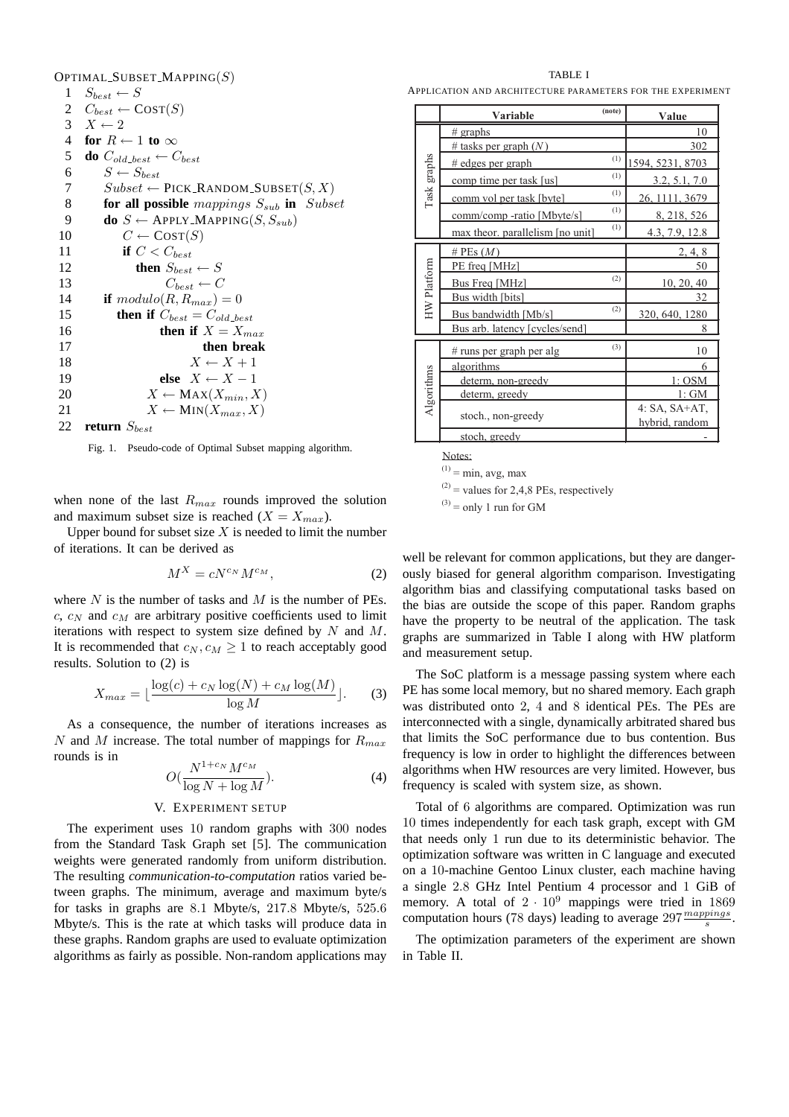|         | OPTIMAL_SUBSET_MAPPING $(S)$                          |
|---------|-------------------------------------------------------|
| 1       | $S_{best} \leftarrow S$                               |
|         | 2 $C_{best} \leftarrow \text{COST}(S)$                |
|         | 3 $X \leftarrow 2$                                    |
| 4       | for $R \leftarrow 1$ to $\infty$                      |
| 5       | <b>do</b> $C_{old\_best} \leftarrow C_{best}$         |
| 6       | $S \leftarrow S_{best}$                               |
| $\tau$  | $Subset \leftarrow$ PICK_RANDOM_SUBSET $(S, X)$       |
| $\,8\,$ | for all possible mappings $S_{sub}$ in Subset         |
| 9       | <b>do</b> $S \leftarrow$ APPLY_MAPPING(S, $S_{sub}$ ) |
| 10      | $C \leftarrow \text{COST}(S)$                         |
| 11      | if $C < C_{best}$                                     |
| 12      | then $S_{best} \leftarrow S$                          |
| 13      | $C_{best} \leftarrow C$                               |
| 14      | if $modulo(R, R_{max}) = 0$                           |
| 15      | then if $C_{best} = C_{old-best}$                     |
| 16      | then if $X = X_{max}$                                 |
| 17      | then break                                            |
| 18      | $X \leftarrow X + 1$                                  |
| 19      | else $X \leftarrow X - 1$                             |
| 20      | $X \leftarrow \text{MAX}(X_{min}, X)$                 |
| 21      | $X \leftarrow \text{MIN}(X_{max}, X)$                 |
| 22      | return $S_{best}$                                     |

Fig. 1. Pseudo-code of Optimal Subset mapping algorithm.

when none of the last  $R_{max}$  rounds improved the solution and maximum subset size is reached  $(X = X_{max})$ .

Upper bound for subset size  $X$  is needed to limit the number of iterations. It can be derived as

$$
M^X = cN^{c_N}M^{c_M},\tag{2}
$$

where  $N$  is the number of tasks and  $M$  is the number of PEs.  $c, c_N$  and  $c_M$  are arbitrary positive coefficients used to limit iterations with respect to system size defined by  $N$  and  $M$ . It is recommended that  $c_N, c_M \geq 1$  to reach acceptably good results. Solution to (2) is

$$
X_{max} = \lfloor \frac{\log(c) + c_N \log(N) + c_M \log(M)}{\log M} \rfloor. \tag{3}
$$

As a consequence, the number of iterations increases as N and M increase. The total number of mappings for  $R_{max}$ rounds is in

$$
O\left(\frac{N^{1+c_N}M^{c_M}}{\log N + \log M}\right). \tag{4}
$$

#### V. EXPERIMENT SETUP

The experiment uses 10 random graphs with 300 nodes from the Standard Task Graph set [5]. The communication weights were generated randomly from uniform distribution. The resulting *communication-to-computation* ratios varied between graphs. The minimum, average and maximum byte/s for tasks in graphs are 8.1 Mbyte/s, 217.8 Mbyte/s, 525.6 Mbyte/s. This is the rate at which tasks will produce data in these graphs. Random graphs are used to evaluate optimization algorithms as fairly as possible. Non-random applications may

TABLE I

APPLICATION AND ARCHITECTURE PARAMETERS FOR THE EXPERIMENT

|             | Variable                         | (note) | Value                             |
|-------------|----------------------------------|--------|-----------------------------------|
| Task graphs | $#$ graphs                       |        | 10                                |
|             | # tasks per graph $(N)$          |        | 302                               |
|             | # edges per graph                | (1)    | 1594, 5231, 8703                  |
|             | comp time per task [us]          | (1)    | 3.2, 5.1, 7.0                     |
|             | comm vol per task [byte]         | (1)    | 26, 1111, 3679                    |
|             | comm/comp-ratio [Mbyte/s]        | (1)    | 8, 218, 526                       |
|             | max theor, parallelism [no unit] | (1)    | 4.3, 7.9, 12.8                    |
| HW Platform | # PEs $(M)$                      |        | 2, 4, 8                           |
|             | PE freq [MHz]                    |        | 50                                |
|             | Bus Freq [MHz]                   | (2)    | 10, 20, 40                        |
|             | Bus width [bits]                 |        | 32                                |
|             | Bus bandwidth [Mb/s]             | (2)    | 320, 640, 1280                    |
|             | Bus arb. latency [cycles/send]   |        | 8                                 |
| Algorithms  | # runs per graph per alg         | (3)    | 10                                |
|             | algorithms                       |        | 6                                 |
|             | determ, non-greedy               |        | 1: OSM                            |
|             | determ, greedy                   |        | 1: GM                             |
|             | stoch., non-greedy               |        | $4: SA, SA+AT,$<br>hybrid, random |
|             | stoch, greedy                    |        |                                   |

Notes:

 $(1)$  = min, avg, max

 $(2)$  = values for 2,4,8 PEs, respectively

 $^{(3)}$  = only 1 run for GM

well be relevant for common applications, but they are dangerously biased for general algorithm comparison. Investigating algorithm bias and classifying computational tasks based on the bias are outside the scope of this paper. Random graphs have the property to be neutral of the application. The task graphs are summarized in Table I along with HW platform and measurement setup.

The SoC platform is a message passing system where each PE has some local memory, but no shared memory. Each graph was distributed onto 2, 4 and 8 identical PEs. The PEs are interconnected with a single, dynamically arbitrated shared bus that limits the SoC performance due to bus contention. Bus frequency is low in order to highlight the differences between algorithms when HW resources are very limited. However, bus frequency is scaled with system size, as shown.

Total of 6 algorithms are compared. Optimization was run 10 times independently for each task graph, except with GM that needs only 1 run due to its deterministic behavior. The optimization software was written in C language and executed on a 10-machine Gentoo Linux cluster, each machine having a single 2.8 GHz Intel Pentium 4 processor and 1 GiB of memory. A total of  $2 \cdot 10^9$  mappings were tried in 1869 computation hours (78 days) leading to average  $297 \frac{mappings}{s}$ .

The optimization parameters of the experiment are shown in Table II.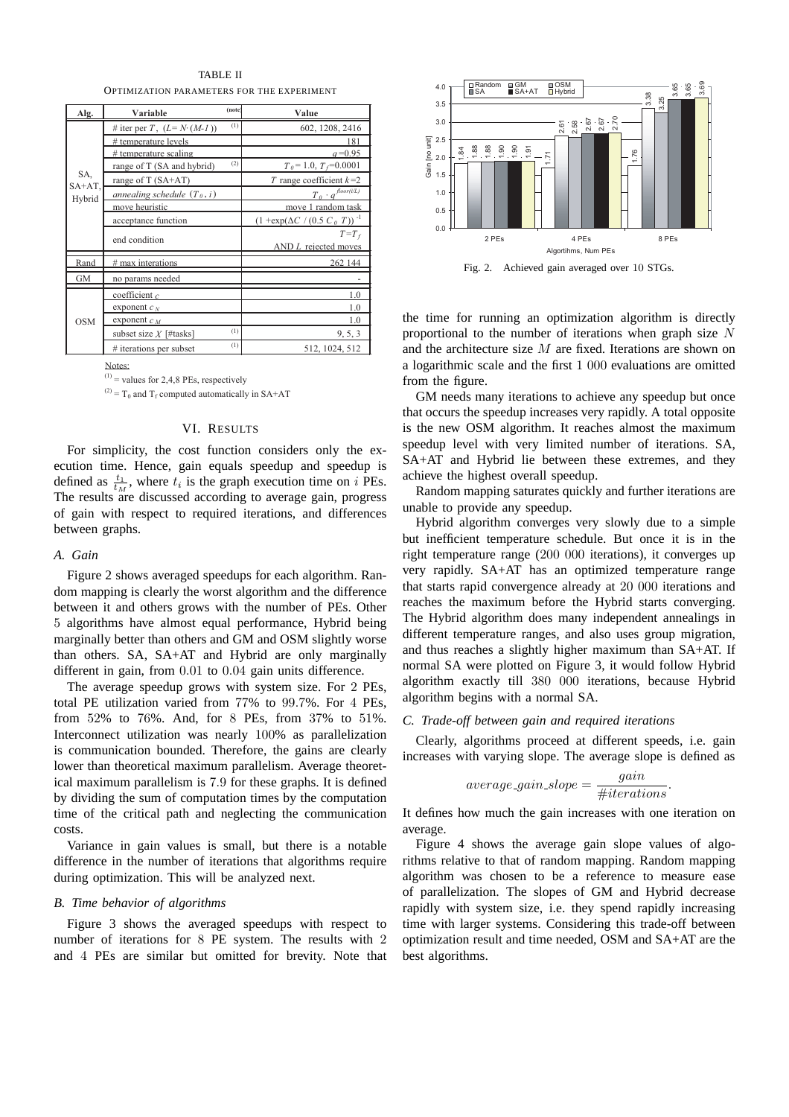TABLE II OPTIMIZATION PARAMETERS FOR THE EXPERIMENT

| Alg.             | Variable                      | (note) | Value                                             |
|------------------|-------------------------------|--------|---------------------------------------------------|
|                  | # iter per T, $(L=N (M-1))$   | (1)    | 602, 1208, 2416                                   |
|                  | # temperature levels          |        | 181                                               |
|                  | # temperature scaling         |        | $a = 0.95$                                        |
|                  | range of T (SA and hybrid)    | (2)    | $T_{\theta} = 1.0, T_f = 0.0001$                  |
| SA,<br>$SA+AT$ . | range of T $(SA+AT)$          |        | T range coefficient $k=2$                         |
| Hybrid           | annealing schedule $(T_0, i)$ |        | $T_{\theta} \cdot q^{\text{floor}(i/L)}$          |
|                  | move heuristic                |        | move 1 random task                                |
|                  | acceptance function           |        | $(1 + \exp(\Delta C / (0.5 C_0 T))$ <sup>-1</sup> |
|                  | end condition                 |        | $T=T_f$                                           |
|                  |                               |        | $AND L$ rejected moves                            |
| Rand             | # max interations             |        | 262 144                                           |
| GМ               | no params needed              |        |                                                   |
|                  | coefficient $c$               |        | 1.0                                               |
|                  | exponent $c_N$                |        | 1.0                                               |
| <b>OSM</b>       | exponent $c_M$                |        | 1.0                                               |
|                  | subset size $X$ [#tasks]      | (1)    | 9, 5, 3                                           |
|                  | # iterations per subset       | (1)    | 512, 1024, 512                                    |

Notes:

 $^{(1)}$  = values for 2,4,8 PEs, respectively

 $^{(2)}$  = T<sub>0</sub> and T<sub>f</sub> computed automatically in SA+AT

# VI. RESULTS

For simplicity, the cost function considers only the execution time. Hence, gain equals speedup and speedup is defined as  $\frac{t_1}{t_M}$ , where  $t_i$  is the graph execution time on i PEs. The results are discussed according to average gain, progress of gain with respect to required iterations, and differences between graphs.

## *A. Gain*

Figure 2 shows averaged speedups for each algorithm. Random mapping is clearly the worst algorithm and the difference between it and others grows with the number of PEs. Other 5 algorithms have almost equal performance, Hybrid being marginally better than others and GM and OSM slightly worse than others. SA, SA+AT and Hybrid are only marginally different in gain, from 0.01 to 0.04 gain units difference.

The average speedup grows with system size. For 2 PEs, total PE utilization varied from 77% to 99.7%. For 4 PEs, from 52% to 76%. And, for 8 PEs, from 37% to 51%. Interconnect utilization was nearly 100% as parallelization is communication bounded. Therefore, the gains are clearly lower than theoretical maximum parallelism. Average theoretical maximum parallelism is 7.9 for these graphs. It is defined by dividing the sum of computation times by the computation time of the critical path and neglecting the communication costs.

Variance in gain values is small, but there is a notable difference in the number of iterations that algorithms require during optimization. This will be analyzed next.

## *B. Time behavior of algorithms*

Figure 3 shows the averaged speedups with respect to number of iterations for 8 PE system. The results with 2 and 4 PEs are similar but omitted for brevity. Note that



Fig. 2. Achieved gain averaged over 10 STGs.

the time for running an optimization algorithm is directly proportional to the number of iterations when graph size N and the architecture size M are fixed. Iterations are shown on a logarithmic scale and the first 1 000 evaluations are omitted from the figure.

GM needs many iterations to achieve any speedup but once that occurs the speedup increases very rapidly. A total opposite is the new OSM algorithm. It reaches almost the maximum speedup level with very limited number of iterations. SA, SA+AT and Hybrid lie between these extremes, and they achieve the highest overall speedup.

Random mapping saturates quickly and further iterations are unable to provide any speedup.

Hybrid algorithm converges very slowly due to a simple but inefficient temperature schedule. But once it is in the right temperature range (200 000 iterations), it converges up very rapidly. SA+AT has an optimized temperature range that starts rapid convergence already at 20 000 iterations and reaches the maximum before the Hybrid starts converging. The Hybrid algorithm does many independent annealings in different temperature ranges, and also uses group migration, and thus reaches a slightly higher maximum than SA+AT. If normal SA were plotted on Figure 3, it would follow Hybrid algorithm exactly till 380 000 iterations, because Hybrid algorithm begins with a normal SA.

## *C. Trade-off between gain and required iterations*

Clearly, algorithms proceed at different speeds, i.e. gain increases with varying slope. The average slope is defined as

$$
average\_gain\_slope = \frac{gain}{\#iterations}.
$$

It defines how much the gain increases with one iteration on average.

Figure 4 shows the average gain slope values of algorithms relative to that of random mapping. Random mapping algorithm was chosen to be a reference to measure ease of parallelization. The slopes of GM and Hybrid decrease rapidly with system size, i.e. they spend rapidly increasing time with larger systems. Considering this trade-off between optimization result and time needed, OSM and SA+AT are the best algorithms.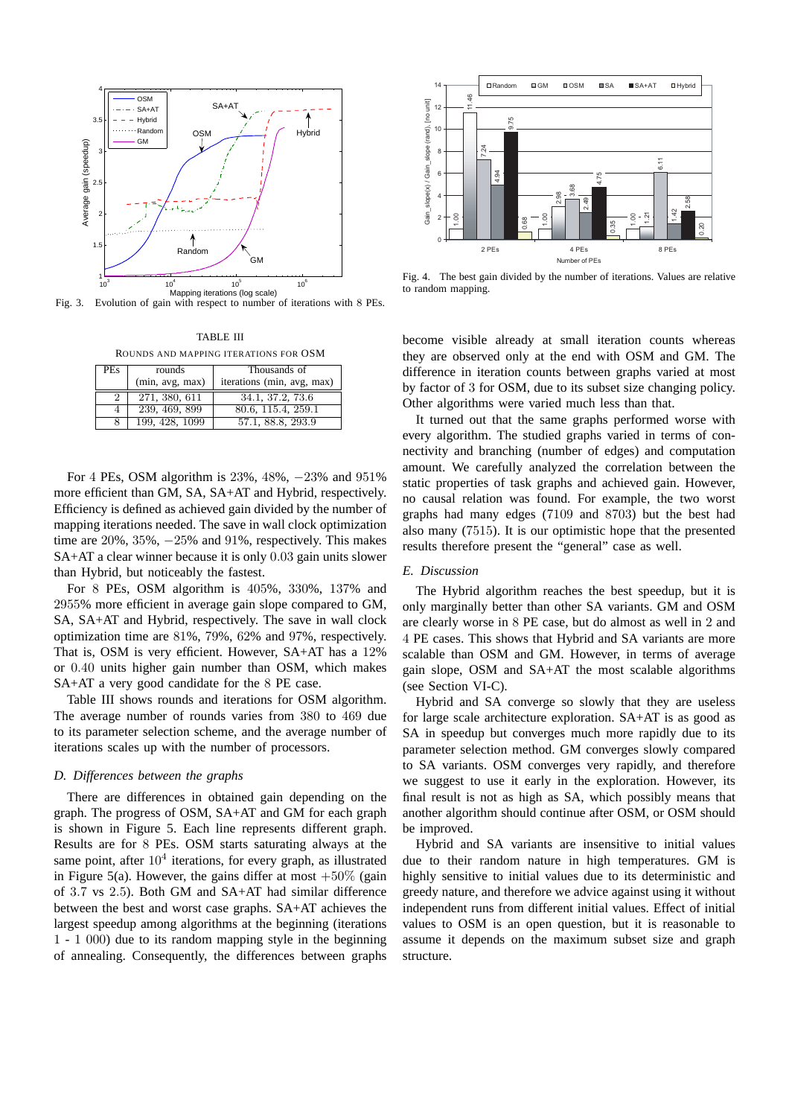

Fig. 3. Evolution of gain with respect to number of iterations with 8 PEs.

TABLE III ROUNDS AND MAPPING ITERATIONS FOR OSM

| <b>PEs</b> | rounds<br>(min, avg, max) | Thousands of<br>iterations (min, avg, max) |
|------------|---------------------------|--------------------------------------------|
| 2          | 271, 380, 611             | 34.1, 37.2, 73.6                           |
| 4          | 239, 469, 899             | 80.6, 115.4, 259.1                         |
|            | 199, 428, 1099            | 57.1, 88.8, 293.9                          |

For 4 PEs, OSM algorithm is 23%, 48%, −23% and 951% more efficient than GM, SA, SA+AT and Hybrid, respectively. Efficiency is defined as achieved gain divided by the number of mapping iterations needed. The save in wall clock optimization time are 20%, 35%, −25% and 91%, respectively. This makes SA+AT a clear winner because it is only 0.03 gain units slower than Hybrid, but noticeably the fastest.

For 8 PEs, OSM algorithm is 405%, 330%, 137% and 2955% more efficient in average gain slope compared to GM, SA, SA+AT and Hybrid, respectively. The save in wall clock optimization time are 81%, 79%, 62% and 97%, respectively. That is, OSM is very efficient. However, SA+AT has a 12% or 0.40 units higher gain number than OSM, which makes SA+AT a very good candidate for the 8 PE case.

Table III shows rounds and iterations for OSM algorithm. The average number of rounds varies from 380 to 469 due to its parameter selection scheme, and the average number of iterations scales up with the number of processors.

## *D. Differences between the graphs*

There are differences in obtained gain depending on the graph. The progress of OSM, SA+AT and GM for each graph is shown in Figure 5. Each line represents different graph. Results are for 8 PEs. OSM starts saturating always at the same point, after  $10^4$  iterations, for every graph, as illustrated in Figure 5(a). However, the gains differ at most  $+50\%$  (gain of 3.7 vs 2.5). Both GM and SA+AT had similar difference between the best and worst case graphs. SA+AT achieves the largest speedup among algorithms at the beginning (iterations 1 - 1 000) due to its random mapping style in the beginning of annealing. Consequently, the differences between graphs



Fig. 4. The best gain divided by the number of iterations. Values are relative to random mapping.

become visible already at small iteration counts whereas they are observed only at the end with OSM and GM. The difference in iteration counts between graphs varied at most by factor of 3 for OSM, due to its subset size changing policy. Other algorithms were varied much less than that.

It turned out that the same graphs performed worse with every algorithm. The studied graphs varied in terms of connectivity and branching (number of edges) and computation amount. We carefully analyzed the correlation between the static properties of task graphs and achieved gain. However, no causal relation was found. For example, the two worst graphs had many edges (7109 and 8703) but the best had also many (7515). It is our optimistic hope that the presented results therefore present the "general" case as well.

## *E. Discussion*

The Hybrid algorithm reaches the best speedup, but it is only marginally better than other SA variants. GM and OSM are clearly worse in 8 PE case, but do almost as well in 2 and 4 PE cases. This shows that Hybrid and SA variants are more scalable than OSM and GM. However, in terms of average gain slope, OSM and SA+AT the most scalable algorithms (see Section VI-C).

Hybrid and SA converge so slowly that they are useless for large scale architecture exploration. SA+AT is as good as SA in speedup but converges much more rapidly due to its parameter selection method. GM converges slowly compared to SA variants. OSM converges very rapidly, and therefore we suggest to use it early in the exploration. However, its final result is not as high as SA, which possibly means that another algorithm should continue after OSM, or OSM should be improved.

Hybrid and SA variants are insensitive to initial values due to their random nature in high temperatures. GM is highly sensitive to initial values due to its deterministic and greedy nature, and therefore we advice against using it without independent runs from different initial values. Effect of initial values to OSM is an open question, but it is reasonable to assume it depends on the maximum subset size and graph structure.